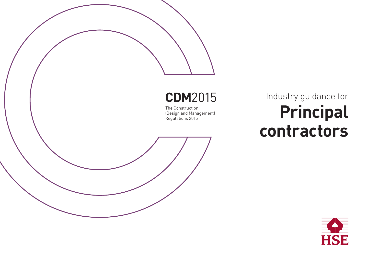# **CDM**2015

The Construction (Design and Management) Regulations 2015

# Industry guidance for **Principal contractors**

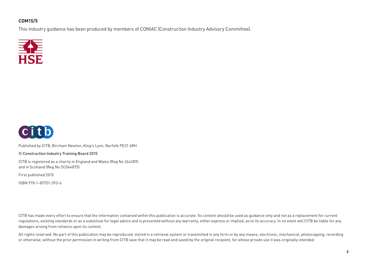#### **CDM15/5**

This industry guidance has been produced by members of CONIAC (Construction Industry Advisory Committee).





Published by CITB, Bircham Newton, King's Lynn, Norfolk PE31 6RH

© Construction Industry Training Board 2015

CITB is registered as a charity in England and Wales (Reg No 264289) and in Scotland (Reg No SC044875)

First published 2015

ISBN 978-1-85751-393-6

CITB has made every effort to ensure that the information contained within this publication is accurate. Its content should be used as quidance only and not as a replacement for current regulations, existing standards or as a substitute for legal advice and is presented without any warranty, either express or implied, as to its accuracy. In no event will CITB be liable for any damages arising from reliance upon its content.

All rights reserved. No part of this publication may be reproduced, stored in a retrieval system or transmitted in any form or by any means, electronic, mechanical, photocopying, recording or otherwise, without the prior permission in writing from CITB save that it may be read and saved by the original recipient, for whose private use it was originally intended.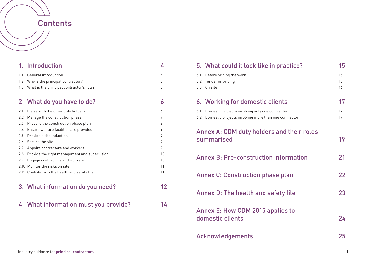## **Contents**

|     | 1. Introduction                               | 4  |
|-----|-----------------------------------------------|----|
| 1.1 | General introduction                          | 4  |
| 1.2 | Who is the principal contractor?              | 5  |
| 1.3 | What is the principal contractor's role?      | 5  |
|     | 2. What do you have to do?                    | 6  |
| 2.1 | Liaise with the other duty holders            | 6  |
| 2.2 | Manage the construction phase                 | 7  |
| 2.3 | Prepare the construction phase plan           | 8  |
| 2.4 | Ensure welfare facilities are provided        | 9  |
| 2.5 | Provide a site induction                      | 9  |
| 2.6 | Secure the site                               | 9  |
| 2.7 | Appoint contractors and workers               | 9  |
| 2.8 | Provide the right management and supervision  | 10 |
| 2.9 | Engage contractors and workers                | 10 |
|     | 2.10 Monitor the risks on site                | 11 |
|     | 2.11 Contribute to the health and safety file | 11 |
|     | 3. What information do you need?              | 12 |
|     | 4. What information must you provide?         | 14 |

|                                                               | 5. What could it look like in practice?                                                                 | 15             |
|---------------------------------------------------------------|---------------------------------------------------------------------------------------------------------|----------------|
| 5.1<br>5.2<br>5.3                                             | Before pricing the work<br>Tender or pricing<br>On site                                                 | 15<br>15<br>16 |
|                                                               | 6. Working for domestic clients                                                                         | 17             |
| 6.1<br>6.2                                                    | Domestic projects involving only one contractor<br>Domestic projects involving more than one contractor | 17<br>17       |
| Annex A: CDM duty holders and their roles<br>summarised<br>19 |                                                                                                         |                |
| <b>Annex B: Pre-construction information</b><br>21            |                                                                                                         |                |
| 22<br><b>Annex C: Construction phase plan</b>                 |                                                                                                         |                |
| 23<br>Annex D: The health and safety file                     |                                                                                                         |                |
| <b>Annex E: How CDM 2015 applies to</b><br>domestic clients   |                                                                                                         |                |
|                                                               | Acknowledgements                                                                                        |                |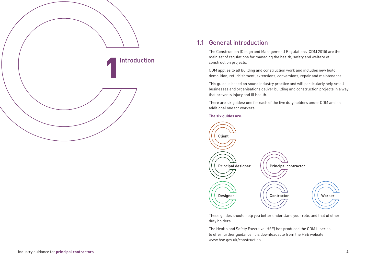

#### 1.1 General introduction

The Construction (Design and Management) Regulations (CDM 2015) are the main set of regulations for managing the health, safety and welfare of construction projects.

CDM applies to all building and construction work and includes new build, demolition, refurbishment, extensions, conversions, repair and maintenance.

This guide is based on sound industry practice and will particularly help small businesses and organisations deliver building and construction projects in a way that prevents injury and ill health.

There are six guides: one for each of the five duty holders under CDM and an additional one for workers.

#### **The six guides are:**



These guides should help you better understand your role, and that of other duty holders.

The Health and Safety Executive (HSE) has produced the CDM L-series to offer further guidance. It is downloadable from the HSE website: www.hse.gov.uk/construction.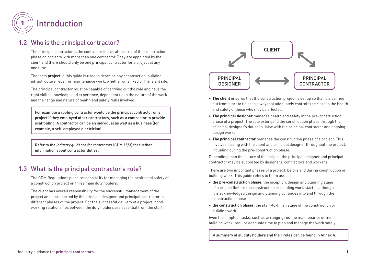

#### 1.2 Who is the principal contractor?

The principal contractor is the contractor in overall control of the construction phase on projects with more than one contractor. They are appointed by the client and there should only be one principal contractor for a project at any one time.

The term **project** in this guide is used to describe any construction, building, infrastructure repair or maintenance work, whether on a fixed or transient site.

The principal contractor must be capable of carrying out the role and have the right skills, knowledge and experience, dependent upon the nature of the work and the range and nature of health and safety risks involved.

For example a roofing contractor would be the principal contractor on a project if they employed other contractors, such as a contractor to provide scaffolding. A contractor can be an individual as well as a business (for example, a self-employed electrician).

Refer to the *Industry guidance for contractors* (CDM 15/3) for further information about contractor duties.

## 1.3 What is the principal contractor's role?

The CDM Regulations place responsibility for managing the health and safety of a construction project on three main duty holders.

The client has overall responsibility for the successful management of the project and is supported by the principal designer and principal contractor in different phases of the project. For the successful delivery of a project, good working relationships between the duty holders are essential from the start.



- **The client** ensures that the construction project is set up so that it is carried out from start to finish in a way that adequately controls the risks to the health and safety of those who may be affected.
- **The principal designer** manages health and safety in the pre-construction phase of a project. The role extends to the construction phase through the principal designer's duties to liaise with the principal contractor and ongoing design work.
- **The principal contractor** manages the construction phase of a project. This involves liaising with the client and principal designer throughout the project, including during the pre-construction phase.

Depending upon the nature of the project, the principal designer and principal contractor may be supported by designers, contractors and workers.

There are two important phases of a project: before and during construction or building work. This guide refers to them as:

- **the pre-construction phase:** the inception, design and planning stage of a project (before the construction or building work starts), although it is acknowledged design and planning continues into and through the construction phase
- **the construction phase:** the start-to-finish stage of the construction or building work.

Even the simplest tasks, such as arranging routine maintenance or minor building work, require adequate time to plan and manage the work safely.

A summary of all duty holders and their roles can be found in Annex A.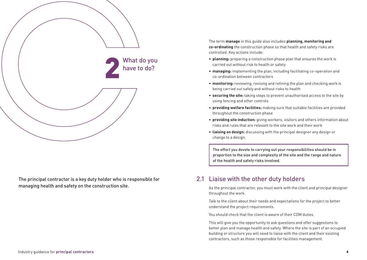

The principal contractor is a key duty holder who is responsible for managing health and safety on the construction site.

The term **manage** in this guide also includes **planning, monitoring and co-ordinating** the construction phase so that health and safety risks are controlled. Key actions include:

- **planning:** preparing a construction phase plan that ensures the work is carried out without risk to health or safety
- **managing:** implementing the plan, including facilitating co-operation and co-ordination between contractors
- **monitoring:** reviewing, revising and refining the plan and checking work is being carried out safely and without risks to health
- **securing the site:** taking steps to prevent unauthorised access to the site by using fencing and other controls
- **providing welfare facilities:** making sure that suitable facilities are provided throughout the construction phase
- **providing site induction:** giving workers, visitors and others information about risks and rules that are relevant to the site work and their work
- **liaising on design:** discussing with the principal designer any design or change to a design.

The effort you devote to carrying out your responsibilities should be in proportion to the size and complexity of the site and the range and nature of the health and safety risks involved.

## 2.1 Liaise with the other duty holders

As the principal contractor, you must work with the client and principal designer throughout the work.

Talk to the client about their needs and expectations for the project to better understand the project requirements.

You should check that the client is aware of their CDM duties.

This will give you the opportunity to ask questions and offer suggestions to better plan and manage health and safety. Where the site is part of an occupied building or structure you will need to liaise with the client and their existing contractors, such as those responsible for facilities management.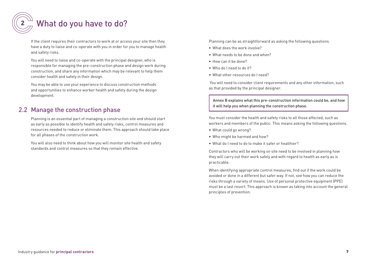

If the client requires their contractors to work at or access your site then they have a duty to liaise and co-operate with you in order for you to manage health and safety risks.

You will need to liaise and co-operate with the principal designer, who is responsible for managing the pre-construction phase and design work during construction, and share any information which may be relevant to help them consider health and safety in their design.

You may be able to use your experience to discuss construction methods and opportunities to enhance worker health and safety during the design development.

### 2.2 Manage the construction phase

Planning is an essential part of managing a construction site and should start as early as possible to identify health and safety risks, control measures and resources needed to reduce or eliminate them. This approach should take place for all phases of the construction work.

You will also need to think about how you will monitor site health and safety standards and control measures so that they remain effective.

Planning can be as straightforward as asking the following questions.

- What does the work involve?
- What needs to be done and when?
- How can it be done?
- Who do I need to do it?
- What other resources do I need?

 You will need to consider client requirements and any other information, such as that provided by the principal designer.

Annex B explains what this pre-construction information could be, and how it will help you when planning the construction phase.

You must consider the health and safety risks to all those affected, such as workers and members of the public. This means asking the following questions.

- What could go wrong?
- Who might be harmed and how?
- What do I need to do to make it safer or healthier?

Contractors who will be working on site need to be involved in planning how they will carry out their work safely and with regard to health as early as is practicable.

When identifying appropriate control measures, find out if the work could be avoided or done in a different but safer way. If not, see how you can reduce the risks through a variety of means. Use of personal protective equipment (PPE) must be a last resort. This approach is known as taking into account the general principles of prevention.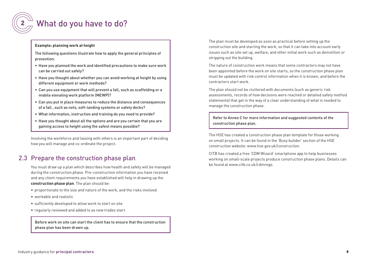

#### **Example: planning work at height**

The following questions illustrate how to apply the general principles of prevention.

- Have you planned the work and identified precautions to make sure work can be carried out safely?
- Have you thought about whether you can avoid working at height by using different equipment or work methods?
- Can you use equipment that will prevent a fall, such as scaffolding or a mobile elevating work platform (MEWP)?
- Can you put in place measures to reduce the distance and consequences of a fall , such as nets, soft-landing systems or safety decks?
- What information, instruction and training do you need to provide?
- Have you thought about all the options and are you certain that you are gaining access to height using the safest means possible?

Involving the workforce and liaising with others is an important part of deciding how you will manage and co-ordinate the project.

## 2.3 Prepare the construction phase plan

You must draw up a plan which describes how health and safety will be managed during the construction phase. Pre-construction information you have received and any client requirements you have established will help in drawing up the **construction phase plan**. The plan should be:

- proportionate to the size and nature of the work, and the risks involved
- workable and realistic
- sufficiently developed to allow work to start on site
- regularly reviewed and added to as new trades start.

Before work on site can start the client has to ensure that the construction phase plan has been drawn up.

The plan must be developed as soon as practical before setting up the construction site and starting the work, so that it can take into account early issues such as site set up, welfare, and other initial work such as demolition or stripping out the building.

The nature of construction work means that some contractors may not have been appointed before the work on site starts, so the construction phase plan must be updated with risk control information when it is known, and before the contractors start work.

The plan should not be cluttered with documents (such as generic risk assessments, records of how decisions were reached or detailed safety method statements) that get in the way of a clear understanding of what is needed to manage the construction phase.

Refer to Annex C for more information and suggested contents of the construction phase plan.

The HSE has created a construction phase plan template for those working on small projects. It can be found in the 'Busy builder' section of the HSE construction website: www.hse.gov.uk/construction.

CITB has created a free 'CDM Wizard' smartphone app to help businesses working on small-scale projects produce construction phase plans. Details can be found at www.citb.co.uk/cdmregs.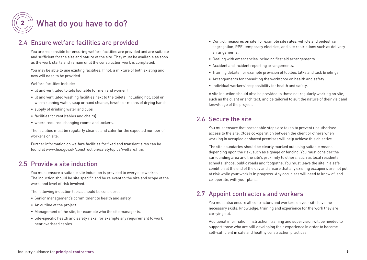

## 2.4 Ensure welfare facilities are provided

You are responsible for ensuring welfare facilities are provided and are suitable and sufficient for the size and nature of the site. They must be available as soon as the work starts and remain until the construction work is completed.

You may be able to use existing facilities. If not, a mixture of both existing and new will need to be provided.

Welfare facilities include:

- lit and ventilated toilets (suitable for men and women)
- lit and ventilated washing facilities next to the toilets, including hot, cold or warm running water, soap or hand cleaner, towels or means of drying hands
- supply of drinking water and cups
- facilities for rest (tables and chairs)
- where required, changing rooms and lockers.

The facilities must be regularly cleaned and cater for the expected number of workers on site.

Further information on welfare facilities for fixed and transient sites can be found at www.hse.gov.uk/construction/safetytopics/welfare.htm.

## 2.5 Provide a site induction

You must ensure a suitable site induction is provided to every site worker. The induction should be site specific and be relevant to the size and scope of the work, and level of risk involved.

The following induction topics should be considered.

- Senior management's commitment to health and safety.
- An outline of the project.
- Management of the site, for example who the site manager is.
- Site-specific health and safety risks, for example any requirement to work near overhead cables.
- Control measures on site, for example site rules, vehicle and pedestrian segregation, PPE, temporary electrics, and site restrictions such as delivery arrangements.
- Dealing with emergencies including first aid arrangements.
- Accident and incident reporting arrangements.
- Training details, for example provision of toolbox talks and task briefings.
- Arrangements for consulting the workforce on health and safety.
- Individual workers' responsibility for health and safety.

A site induction should also be provided to those not regularly working on site, such as the client or architect, and be tailored to suit the nature of their visit and knowledge of the project.

## 2.6 Secure the site

You must ensure that reasonable steps are taken to prevent unauthorised access to the site. Close co-operation between the client or others when working in occupied or shared premises will help achieve this objective.

The site boundaries should be clearly marked out using suitable means depending upon the risk, such as signage or fencing. You must consider the surrounding area and the site's proximity to others, such as local residents, schools, shops, public roads and footpaths. You must leave the site in a safe condition at the end of the day and ensure that any existing occupiers are not put at risk while your work is in progress. Any occupiers will need to know of, and co-operate, with your plans.

## 2.7 Appoint contractors and workers

You must also ensure all contractors and workers on your site have the necessary skills, knowledge, training and experience for the work they are carrying out.

Additional information, instruction, training and supervision will be needed to support those who are still developing their experience in order to become self-sufficient in safe and healthy construction practices.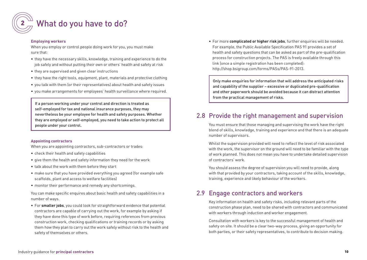

#### **Employing workers**

When you employ or control people doing work for you, you must make sure that:

- they have the necessary skills, knowledge, training and experience to do the job safely and without putting their own or others' health and safety at risk
- they are supervised and given clear instructions
- they have the right tools, equipment, plant, materials and protective clothing
- you talk with them (or their representatives) about health and safety issues
- you make arrangements for employees' health surveillance where required.

If a person working under your control and direction is treated as self-employed for tax and national insurance purposes, they may nevertheless be your employee for health and safety purposes. Whether they are employed or self-employed, you need to take action to protect all people under your control.

#### **Appointing contractors**

When you are appointing contractors, sub-contractors or trades:

- check their health and safety capabilities
- give them the health and safety information they need for the work
- talk about the work with them before they start
- make sure that you have provided everything you agreed (for example safe scaffolds, plant and access to welfare facilities)
- monitor their performance and remedy any shortcomings.

You can make specific enquires about basic health and safety capabilities in a number of ways.

• For **smaller jobs**, you could look for straightforward evidence that potential contractors are capable of carrying out the work, for example by asking if they have done this type of work before, requiring references from previous construction work, checking qualifications or training records or by asking them how they plan to carry out the work safely without risk to the health and safety of themselves or others.

• For more **complicated or higher risk jobs**, further enquiries will be needed. For example, the Public Available Specification PAS 91 provides a set of health and safety questions that can be asked as part of the pre-qualification process for construction projects. The PAS is freely available through this link (once a simple registration has been completed): http://shop.bsigroup.com/forms/PASs/PAS-91-2013.

Only make enquiries for information that will address the anticipated risks and capability of the supplier – excessive or duplicated pre-qualification and other paperwork should be avoided because it can distract attention from the practical management of risks.

#### 2.8 Provide the right management and supervision

You must ensure that those managing and supervising the work have the right blend of skills, knowledge, training and experience and that there is an adequate number of supervisors.

Whilst the supervision provided will need to reflect the level of risk associated with the work, the supervisor on the ground will need to be familiar with the type of work planned. This does not mean you have to undertake detailed supervision of contractors' work.

You should assess the degree of supervision you will need to provide, along with that provided by your contractors, taking account of the skills, knowledge, training, experience and likely behaviour of the workers.

#### 2.9 Engage contractors and workers

Key information on health and safety risks, including relevant parts of the construction phase plan, need to be shared with contractors and communicated with workers through induction and worker engagement.

Consultation with workers is key to the successful management of health and safety on site. It should be a clear two-way process, giving an opportunity for both parties, or their safety representatives, to contribute to decision making.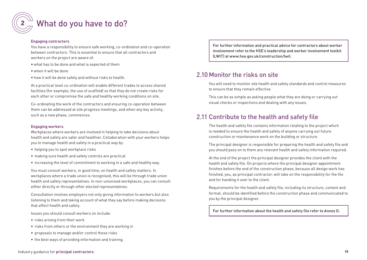#### **Engaging contractors**

You have a responsibility to ensure safe working, co-ordination and co-operation between contractors. This is essential to ensure that all contractors and workers on the project are aware of:

- what has to be done and what is expected of them
- when it will be done
- how it will be done safely and without risks to health.

At a practical level co-ordination will enable different trades to access shared facilities (for example, the use of scaffold) so that they do not create risks for each other or compromise the safe and healthy working conditions on site.

Co-ordinating the work of the contractors and ensuring co-operation between them can be addressed at site progress meetings, and when any key activity, such as a new phase, commences.

#### **Engaging workers**

Workplaces where workers are involved in helping to take decisions about health and safety are safer and healthier. Collaboration with your workers helps you to manage health and safety in a practical way by:

- helping you to spot workplace risks
- making sure health and safety controls are practical
- increasing the level of commitment to working in a safe and healthy way.

You must consult workers, in good time, on health and safety matters. In workplaces where a trade union is recognised, this will be through trade union health and safety representatives. In non-unionised workplaces, you can consult either directly or through other elected representatives.

Consultation involves employers not only giving information to workers but also listening to them and taking account of what they say before making decisions that affect health and safety.

Issues you should consult workers on include:

- risks arising from their work
- risks from others or the environment they are working in
- proposals to manage and/or control these risks
- the best ways of providing information and training.

For further information and practical advice for contractors about worker involvement refer to the HSE's leadership and worker involvement toolkit (LWIT) at www.hse.gov.uk/construction/lwit.

#### 2.10 Monitor the risks on site

You will need to monitor site health and safety standards and control measures to ensure that they remain effective.

This can be as simple as asking people what they are doing or carrying out visual checks or inspections and dealing with any issues.

## 2.11 Contribute to the health and safety file

The health and safety file contains information relating to the project which is needed to ensure the health and safety of anyone carrying out future construction or maintenance work on the building or structure.

The principal designer is responsible for preparing the health and safety file and you should pass on to them any relevant health and safety information required.

At the end of the project the principal designer provides the client with the health and safety file. On projects where the principal designer appointment finishes before the end of the construction phase, because all design work has finished, you, as principal contractor, will take on the responsibility for the file and for handing it over to the client.

Requirements for the health and safety file, including its structure, content and format, should be identified before the construction phase and communicated to you by the principal designer.

For further information about the health and safety file refer to Annex D.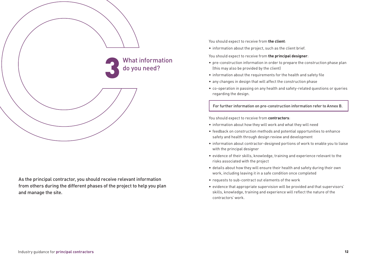

As the principal contractor, you should receive relevant information from others during the different phases of the project to help you plan and manage the site.

You should expect to receive from **the client**:

• information about the project, such as the client brief.

You should expect to receive from **the principal designer**:

- pre-construction information in order to prepare the construction phase plan (this may also be provided by the client)
- information about the requirements for the health and safety file
- any changes in design that will affect the construction phase
- co-operation in passing on any health and safety-related questions or queries regarding the design.

For further information on pre-construction information refer to Annex B.

#### You should expect to receive from **contractors**:

- information about how they will work and what they will need
- feedback on construction methods and potential opportunities to enhance safety and health through design review and development
- information about contractor-designed portions of work to enable you to liaise with the principal designer
- evidence of their skills, knowledge, training and experience relevant to the risks associated with the project
- details about how they will ensure their health and safety during their own work, including leaving it in a safe condition once completed
- requests to sub-contract out elements of the work
- evidence that appropriate supervision will be provided and that supervisors' skills, knowledge, training and experience will reflect the nature of the contractors' work.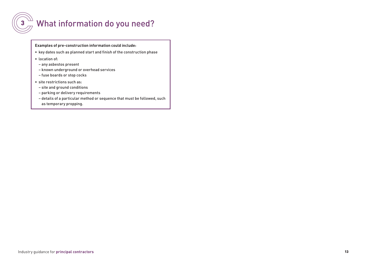

# $\left(3\frac{\sqrt{11}}{\sqrt{11}}\right)$  What information do you need?

**Examples of pre-construction information could include:**

- key dates such as planned start and finish of the construction phase
- location of:
	- any asbestos present
- known underground or overhead services
- fuse boards or stop cocks
- site restrictions such as:
	- site and ground conditions
	- parking or delivery requirements
- details of a particular method or sequence that must be followed, such as temporary propping.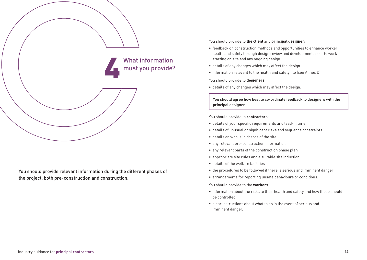

You should provide relevant information during the different phases of the project, both pre-construction and construction.

You should provide to **the client** and **principal designer**:

- feedback on construction methods and opportunities to enhance worker health and safety through design review and development, prior to work starting on site and any ongoing design
- details of any changes which may affect the design
- information relevant to the health and safety file (see Annex D).

You should provide to **designers**:

• details of any changes which may affect the design.

You should agree how best to co-ordinate feedback to designers with the principal designer.

You should provide to **contractors**:

- details of your specific requirements and lead-in time
- details of unusual or significant risks and sequence constraints
- details on who is in charge of the site
- any relevant pre-construction information
- any relevant parts of the construction phase plan
- appropriate site rules and a suitable site induction
- details of the welfare facilities
- the procedures to be followed if there is serious and imminent danger
- arrangements for reporting unsafe behaviours or conditions.

You should provide to the **workers**:

- information about the risks to their health and safety and how these should be controlled
- clear instructions about what to do in the event of serious and imminent danger.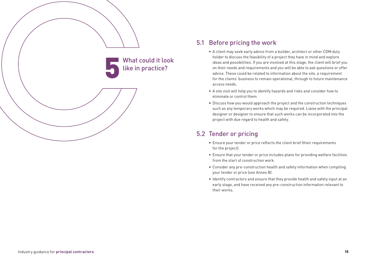

### 5.1 Before pricing the work

- A client may seek early advice from a builder, architect or other CDM duty holder to discuss the feasibility of a project they have in mind and explore ideas and possibilities. If you are involved at this stage, the client will brief you on their needs and requirements and you will be able to ask questions or offer advice. These could be related to information about the site, a requirement for the clients' business to remain operational, through to future maintenance access needs.
- A site visit will help you to identify hazards and risks and consider how to eliminate or control them.
- Discuss how you would approach the project and the construction techniques such as any temporary works which may be required. Liaise with the principal designer or designer to ensure that such works can be incorporated into the project with due regard to health and safety.

## 5.2 Tender or pricing

- Ensure your tender or price reflects the client brief (their requirements for the project).
- Ensure that your tender or price includes plans for providing welfare facilities from the start of construction work.
- Consider any pre-construction health and safety information when compiling your tender or price (see Annex B).
- Identify contractors and ensure that they provide health and safety input at an early stage, and have received any pre-construction information relevant to their works.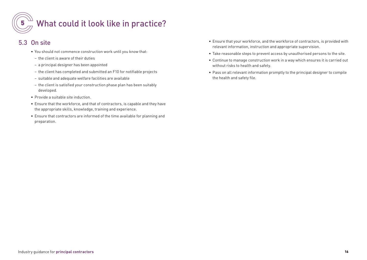

# $\overline{5}_{\sqrt{7}}^{\sqrt{11}}$  What could it look like in practice?

## 5.3 On site

- You should not commence construction work until you know that:
	- the client is aware of their duties
	- a principal designer has been appointed
- the client has completed and submitted an F10 for notifiable projects
- suitable and adequate welfare facilities are available
- the client is satisfied your construction phase plan has been suitably developed.
- Provide a suitable site induction.
- Ensure that the workforce, and that of contractors, is capable and they have the appropriate skills, knowledge, training and experience.
- Ensure that contractors are informed of the time available for planning and preparation.
- Ensure that your workforce, and the workforce of contractors, is provided with relevant information, instruction and appropriate supervision.
- Take reasonable steps to prevent access by unauthorised persons to the site.
- Continue to manage construction work in a way which ensures it is carried out without risks to health and safety.
- Pass on all relevant information promptly to the principal designer to compile the health and safety file.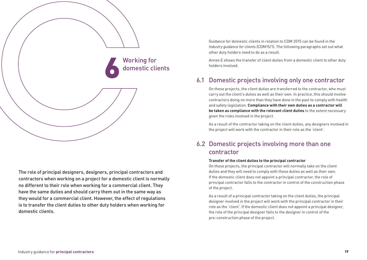

The role of principal designers, designers, principal contractors and contractors when working on a project for a domestic client is normally no different to their role when working for a commercial client. They have the same duties and should carry them out in the same way as they would for a commercial client. However, the effect of regulations is to transfer the client duties to other duty holders when working for domestic clients.

Guidance for domestic clients in relation to CDM 2015 can be found in the *Industry guidance for clients* (CDM15/1). The following paragraphs set out what other duty holders need to do as a result.

Annex E shows the transfer of client duties from a domestic client to other duty holders involved.

## 6.1 Domestic projects involving only one contractor

On these projects, the client duties are transferred to the contractor, who must carry out the client's duties as well as their own. In practice, this should involve contractors doing no more than they have done in the past to comply with health and safety legislation. **Compliance with their own duties as a contractor will be taken as compliance with the relevant client duties** to the extent necessary given the risks involved in the project.

As a result of the contractor taking on the client duties, any designers involved in the project will work with the contractor in their role as the 'client'.

## 6.2 Domestic projects involving more than one contractor

#### **Transfer of the client duties to the principal contractor**

On these projects, the principal contractor will normally take on the client duties and they will need to comply with these duties as well as their own. If the domestic client does not appoint a principal contractor, the role of principal contractor falls to the contractor in control of the construction phase of the project.

As a result of a principal contractor taking on the client duties, the principal designer involved in the project will work with the principal contractor in their role as the 'client'. If the domestic client does not appoint a principal designer, the role of the principal designer falls to the designer in control of the pre-construction phase of the project.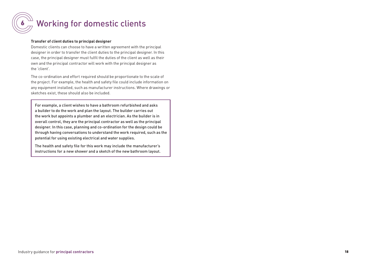

# Working for domestic clients

#### **Transfer of client duties to principal designer**

Domestic clients can choose to have a written agreement with the principal designer in order to transfer the client duties to the principal designer. In this case, the principal designer must fulfil the duties of the client as well as their own and the principal contractor will work with the principal designer as the 'client'.

The co-ordination and effort required should be proportionate to the scale of the project. For example, the health and safety file could include information on any equipment installed, such as manufacturer instructions. Where drawings or sketches exist, these should also be included.

For example, a client wishes to have a bathroom refurbished and asks a builder to do the work and plan the layout. The builder carries out the work but appoints a plumber and an electrician. As the builder is in overall control, they are the principal contractor as well as the principal designer. In this case, planning and co-ordination for the design could be through having conversations to understand the work required, such as the potential for using existing electrical and water supplies.

The health and safety file for this work may include the manufacturer's instructions for a new shower and a sketch of the new bathroom layout.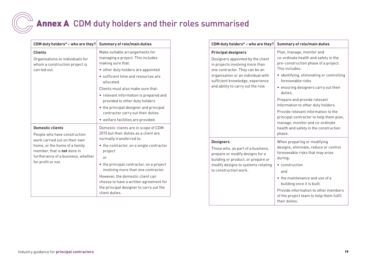# Annex A CDM duty holders and their roles summarised

| CDM duty holders* - who are they?                                                        | <b>Summary of role/main duties</b>                                                                                                      |
|------------------------------------------------------------------------------------------|-----------------------------------------------------------------------------------------------------------------------------------------|
| <b>Clients</b><br>Organisations or individuals for<br>whom a construction project is     | Make suitable arrangements for<br>managing a project. This includes<br>making sure that:                                                |
| carried out.                                                                             | • other duty holders are appointed                                                                                                      |
|                                                                                          | • sufficient time and resources are<br>allocated.                                                                                       |
|                                                                                          | Clients must also make sure that:                                                                                                       |
|                                                                                          | • relevant information is prepared and<br>provided to other duty holders                                                                |
|                                                                                          | • the principal designer and principal<br>contractor carry out their duties                                                             |
|                                                                                          | • welfare facilities are provided.                                                                                                      |
| <b>Domestic clients</b><br>People who have construction<br>work carried out on their own | Domestic clients are in scope of CDM<br>2015 but their duties as a client are<br>normally transferred to:                               |
| home, or the home of a family<br>member, that is not done in                             | • the contractor, on a single contractor<br>project                                                                                     |
| furtherance of a business, whether                                                       | or                                                                                                                                      |
| for profit or not.                                                                       | • the principal contractor, on a project<br>involving more than one contractor.                                                         |
|                                                                                          | However, the domestic client can<br>choose to have a written agreement for<br>the principal designer to carry out the<br>client duties. |

| CDM duty holders* - who are they?                                                                                                                                                                                                                    | <b>Summary of role/main duties</b>                                                                                                                                                                                                                                                                                                                                                                                                                                                             |
|------------------------------------------------------------------------------------------------------------------------------------------------------------------------------------------------------------------------------------------------------|------------------------------------------------------------------------------------------------------------------------------------------------------------------------------------------------------------------------------------------------------------------------------------------------------------------------------------------------------------------------------------------------------------------------------------------------------------------------------------------------|
| <b>Principal designers</b><br>Designers appointed by the client<br>in projects involving more than<br>one contractor. They can be an<br>organisation or an individual with<br>sufficient knowledge, experience<br>and ability to carry out the role. | Plan, manage, monitor and<br>co-ordinate health and safety in the<br>pre-construction phase of a project.<br>This includes:<br>• identifying, eliminating or controlling<br>foreseeable risks<br>• ensuring designers carry out their<br>duties.<br>Prepare and provide relevant<br>information to other duty holders.<br>Provide relevant information to the<br>principal contractor to help them plan,<br>manage, monitor and co-ordinate<br>health and safety in the construction<br>phase. |
| <b>Designers</b><br>Those who, as part of a business,<br>prepare or modify designs for a<br>building or product, or prepare or<br>modify designs to systems relating<br>to construction work.                                                        | When preparing or modifying<br>designs, eliminate, reduce or control<br>foreseeable risks that may arise<br>during:<br>• construction<br>and<br>• the maintenance and use of a<br>building once it is built.<br>Provide information to other members<br>of the project team to help them fulfil<br>their duties.                                                                                                                                                                               |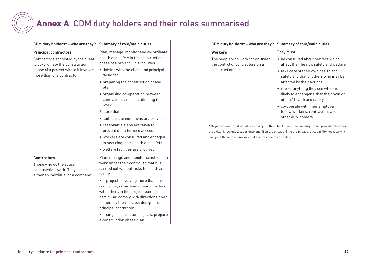# Annex A CDM duty holders and their roles summarised

| CDM duty holders* - who are they?                                                                                     | <b>Summary of role/main duties</b>                                                                                                                                                                                                    |
|-----------------------------------------------------------------------------------------------------------------------|---------------------------------------------------------------------------------------------------------------------------------------------------------------------------------------------------------------------------------------|
| <b>Principal contractors</b><br>Contractors appointed by the client<br>to co-ordinate the construction                | Plan, manage, monitor and co-ordinate<br>health and safety in the construction<br>phase of a project. This includes:                                                                                                                  |
| phase of a project where it involves<br>more than one contractor.                                                     | • liaising with the client and principal<br>designer                                                                                                                                                                                  |
|                                                                                                                       | • preparing the construction phase<br>plan                                                                                                                                                                                            |
|                                                                                                                       | • organising co-operation between<br>contractors and co-ordinating their<br>work.                                                                                                                                                     |
|                                                                                                                       | Fnsure that:                                                                                                                                                                                                                          |
|                                                                                                                       | · suitable site inductions are provided                                                                                                                                                                                               |
|                                                                                                                       | • reasonable steps are taken to<br>prevent unauthorised access                                                                                                                                                                        |
|                                                                                                                       | • workers are consulted and engaged                                                                                                                                                                                                   |
|                                                                                                                       | in securing their health and safety                                                                                                                                                                                                   |
|                                                                                                                       | · welfare facilities are provided.                                                                                                                                                                                                    |
| <b>Contractors</b><br>Those who do the actual<br>construction work. They can be<br>either an individual or a company. | Plan, manage and monitor construction<br>work under their control so that it is<br>carried out without risks to health and<br>safety.                                                                                                 |
|                                                                                                                       | For projects involving more than one<br>contractor, co-ordinate their activities<br>with others in the project team - in<br>particular, comply with directions given<br>to them by the principal designer or<br>principal contractor. |
|                                                                                                                       | For single-contractor projects, prepare<br>a construction phase plan.                                                                                                                                                                 |

| CDM duty holders* - who are they?                                                         | <b>Summary of role/main duties</b>                                                                         |
|-------------------------------------------------------------------------------------------|------------------------------------------------------------------------------------------------------------|
| <b>Workers</b>                                                                            | They must:                                                                                                 |
| The people who work for or under<br>the control of contractors on a<br>construction site. | • be consulted about matters which<br>affect their health, safety and welfare                              |
|                                                                                           | • take care of their own health and<br>safety and that of others who may be<br>affected by their actions   |
|                                                                                           | • report anything they see which is<br>likely to endanger either their own or<br>others' health and safety |
|                                                                                           | • co-operate with their employer,<br>fellow workers, contractors and<br>other duty holders.                |

\* Organisations or individuals can carry out the role of more than one duty holder, provided they have the skills, knowledge, experience and (if an organisation) the organisational capability necessary to carry out those roles in a way that secures health and safety.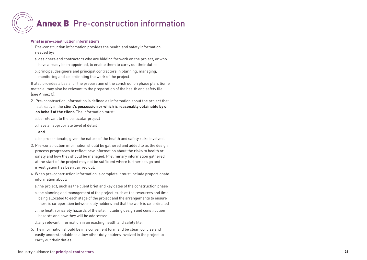# Annex B Pre-construction information

#### **What is pre-construction information?**

- 1. Pre-construction information provides the health and safety information needed by:
- a. designers and contractors who are bidding for work on the project, or who have already been appointed, to enable them to carry out their duties
- b.principal designers and principal contractors in planning, managing, monitoring and co-ordinating the work of the project.

It also provides a basis for the preparation of the construction phase plan. Some material may also be relevant to the preparation of the health and safety file (see Annex C).

- 2. Pre-construction information is defined as information about the project that is already in the **client's possession or which is reasonably obtainable by or on behalf of the client.** The information must:
- a. be relevant to the particular project
- b.have an appropriate level of detail

#### **and**

- c. be proportionate, given the nature of the health and safety risks involved.
- 3. Pre-construction information should be gathered and added to as the design process progresses to reflect new information about the risks to health or safety and how they should be managed. Preliminary information gathered at the start of the project may not be sufficient where further design and investigation has been carried out.
- 4. When pre-construction information is complete it must include proportionate information about:
- a.the project, such as the client brief and key dates of the construction phase
- b.the planning and management of the project, such as the resources and time being allocated to each stage of the project and the arrangements to ensure there is co-operation between duty holders and that the work is co-ordinated
- c. the health or safety hazards of the site, including design and construction hazards and how they will be addressed
- d. any relevant information in an existing health and safety file.
- 5. The information should be in a convenient form and be clear, concise and easily understandable to allow other duty holders involved in the project to carry out their duties.

#### Industry guidance for **principal contractors** 21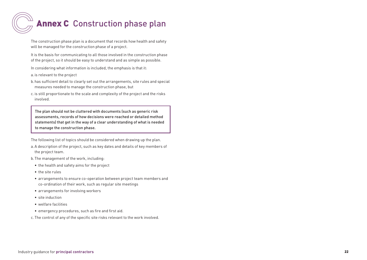# **Annex C** Construction phase plan

The construction phase plan is a document that records how health and safety will be managed for the construction phase of a project.

It is the basis for communicating to all those involved in the construction phase of the project, so it should be easy to understand and as simple as possible.

In considering what information is included, the emphasis is that it:

a. is relevant to the project

- b.has sufficient detail to clearly set out the arrangements, site rules and special measures needed to manage the construction phase, but
- c. is still proportionate to the scale and complexity of the project and the risks involved.

The plan should not be cluttered with documents (such as generic risk assessments, records of how decisions were reached or detailed method statements) that get in the way of a clear understanding of what is needed to manage the construction phase.

The following list of topics should be considered when drawing up the plan.

- a.A description of the project, such as key dates and details of key members of the project team.
- b.The management of the work, including:
- the health and safety aims for the project
- the site rules
- arrangements to ensure co-operation between project team members and co-ordination of their work, such as regular site meetings
- arrangements for involving workers
- site induction
- welfare facilities
- emergency procedures, such as fire and first aid.
- c. The control of any of the specific site risks relevant to the work involved.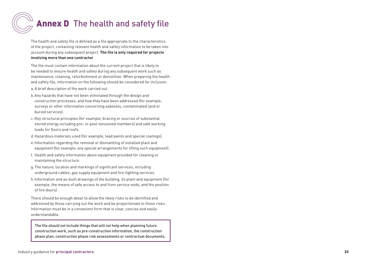# Annex D The health and safety file

The health and safety file is defined as a file appropriate to the characteristics of the project, containing relevant health and safety information to be taken into account during any subsequent project. **The file is only required for projects involving more than one contractor** .

The file must contain information about the current project that is likely to be needed to ensure health and safety during any subsequent work such as maintenance, cleaning, refurbishment or demolition. When preparing the health and safety file, information on the following should be considered for inclusion.

- a.A brief description of the work carried out.
- b.Any hazards that have not been eliminated through the design and construction processes, and how they have been addressed (for example, surveys or other information concerning asbestos, contaminated land or buried services).
- c. Key structural principles (for example, bracing or sources of substantial stored energy including pre- or post-tensioned members) and safe working loads for floors and roofs.
- d.Hazardous materials used (for example, lead paints and special coatings).
- e. Information regarding the removal or dismantling of installed plant and equipment (for example, any special arrangements for lifting such equipment).
- f. Health and safety information about equipment provided for cleaning or maintaining the structure.
- g.The nature, location and markings of significant services, including underground cables, gas supply equipment and fire-fighting services.
- h.Information and as-built drawings of the building, its plant and equipment (for example, the means of safe access to and from service voids, and the position of fire doors).

There should be enough detail to allow the likely risks to be identified and addressed by those carrying out the work and be proportionate to those risks. Information must be in a convenient form that is clear, concise and easily understandable.

The file *should not* include things that will *not* help when planning future construction work, such as pre-construction information, the construction phase plan, construction phase risk assessments or contractual documents.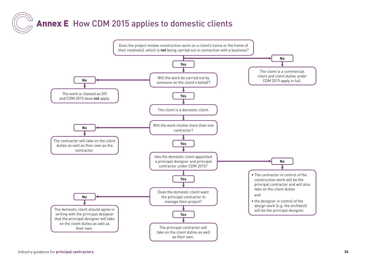# Annex E How CDM 2015 applies to domestic clients

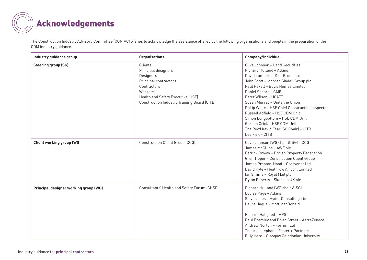

The Construction Industry Advisory Committee (CONIAC) wishes to acknowledge the assistance offered by the following organisations and people in the preparation of the CDM industry guidance.

| Industry guidance group               | <b>Organisations</b>                                                                                                                                                               | Company/individual                                                                                                                                                                                                                                                                                                                                                                                                                                                              |
|---------------------------------------|------------------------------------------------------------------------------------------------------------------------------------------------------------------------------------|---------------------------------------------------------------------------------------------------------------------------------------------------------------------------------------------------------------------------------------------------------------------------------------------------------------------------------------------------------------------------------------------------------------------------------------------------------------------------------|
| <b>Steering group (SG)</b>            | Clients<br>Principal designers<br>Designers<br>Principal contractors<br>Contractors<br>Workers<br>Health and Safety Executive (HSE)<br>Construction Industry Training Board (CITB) | Clive Johnson - Land Securities<br>Richard Hulland - Atkins<br>David Lambert - Kier Group plc<br>John Scott - Morgan Sindall Group plc<br>Paul Haxell - Bovis Homes Limited<br>Daniel Shears - GMB<br>Peter Wilson - UCATT<br>Susan Murray - Unite the Union<br>Philip White - HSE Chief Construction Inspector<br>Russell Adfield - HSE CDM Unit<br>Simon Longbottom - HSE CDM Unit<br>Gordon Crick - HSE CDM Unit<br>The Revd Kevin Fear (SG Chair) - CITB<br>Lee Fisk - CITB |
| <b>Client working group (WG)</b>      | <b>Construction Client Group (CCG)</b>                                                                                                                                             | Clive Johnson (WG chair & SG) - CCG<br>James McClune - AWE plc<br>Patrick Brown - British Property Federation<br>Gren Tipper - Construction Client Group<br>James Preston-Hood - Grosvenor Ltd<br>David Pyle - Heathrow Airport Limited<br>Ian Simms - Royal Mail plc<br>Dylan Roberts - Skanska UK plc                                                                                                                                                                         |
| Principal designer working group (WG) | Consultants' Health and Safety Forum (CHSF)                                                                                                                                        | Richard Hulland (WG chair & SG)<br>Louise Page - Atkins<br>Steve Jones - Hyder Consulting Ltd<br>Laura Hague - Mott MacDonald<br>Richard Habgood - APS<br>Paul Bramley and Brian Street - AstraZeneca<br>Andrew Norton - Formm Ltd<br>Thouria Istephan - Foster + Partners<br>Billy Hare - Glasgow Caledonian University                                                                                                                                                        |